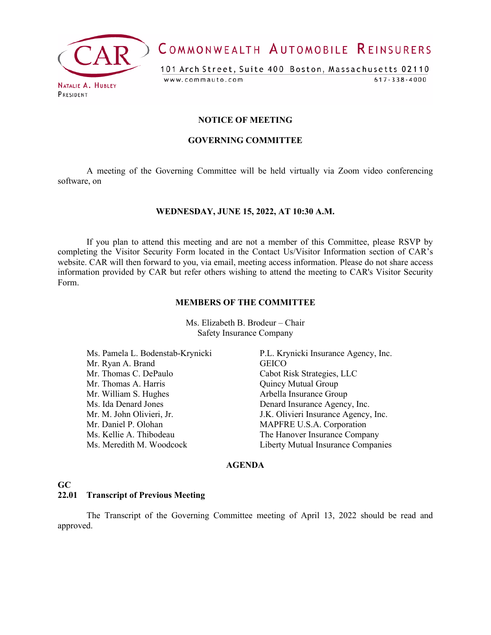

COMMONWEALTH AUTOMOBILE REINSURERS

101 Arch Street, Suite 400 Boston, Massachusetts 02110 www.commauto.com  $617 - 338 - 4000$ 

PRESIDENT

## **NOTICE OF MEETING**

#### **GOVERNING COMMITTEE**

A meeting of the Governing Committee will be held virtually via Zoom video conferencing software, on

## **WEDNESDAY, JUNE 15, 2022, AT 10:30 A.M.**

If you plan to attend this meeting and are not a member of this Committee, please RSVP by completing the Visitor Security Form located in the Contact Us/Visitor Information section of CAR's website. CAR will then forward to you, via email, meeting access information. Please do not share access information provided by CAR but refer others wishing to attend the meeting to CAR's Visitor Security Form.

#### **MEMBERS OF THE COMMITTEE**

Ms. Elizabeth B. Brodeur – Chair Safety Insurance Company

Ms. Pamela L. Bodenstab-Krynicki P.L. Krynicki Insurance Agency, Inc. Mr. Ryan A. Brand GEICO Mr. Thomas A. Harris Quincy Mutual Group Mr. William S. Hughes Arbella Insurance Group Ms. Ida Denard Jones Denard Insurance Agency, Inc. Mr. M. John Olivieri, Jr. J.K. Olivieri Insurance Agency, Inc.<br>Mr. Daniel P. Olohan MAPFRE U.S.A. Corporation Ms. Kellie A. Thibodeau The Hanover Insurance Company Ms. Meredith M. Woodcock Liberty Mutual Insurance Companies

Cabot Risk Strategies, LLC MAPFRE U.S.A. Corporation

## **AGENDA**

## **GC**

## **22.01 Transcript of Previous Meeting**

The Transcript of the Governing Committee meeting of April 13, 2022 should be read and approved.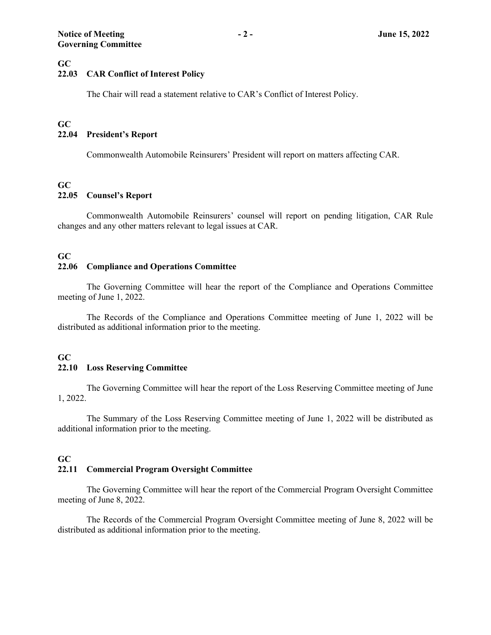## **GC**

## **22.03 CAR Conflict of Interest Policy**

The Chair will read a statement relative to CAR's Conflict of Interest Policy.

## **GC**

## **22.04 President's Report**

Commonwealth Automobile Reinsurers' President will report on matters affecting CAR.

## **GC**

## **22.05 Counsel's Report**

Commonwealth Automobile Reinsurers' counsel will report on pending litigation, CAR Rule changes and any other matters relevant to legal issues at CAR.

## **GC**

## **22.06 Compliance and Operations Committee**

The Governing Committee will hear the report of the Compliance and Operations Committee meeting of June 1, 2022.

The Records of the Compliance and Operations Committee meeting of June 1, 2022 will be distributed as additional information prior to the meeting.

## **GC 22.10 Loss Reserving Committee**

The Governing Committee will hear the report of the Loss Reserving Committee meeting of June 1, 2022.

The Summary of the Loss Reserving Committee meeting of June 1, 2022 will be distributed as additional information prior to the meeting.

## **GC**

## **22.11 Commercial Program Oversight Committee**

The Governing Committee will hear the report of the Commercial Program Oversight Committee meeting of June 8, 2022.

The Records of the Commercial Program Oversight Committee meeting of June 8, 2022 will be distributed as additional information prior to the meeting.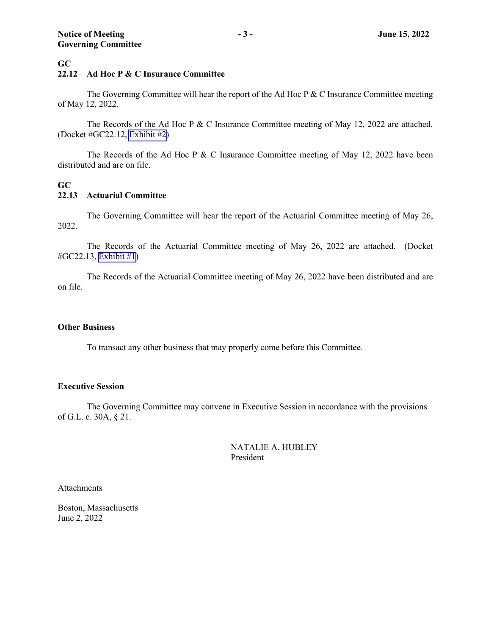## **GC**

## **22.12 Ad Hoc P & C Insurance Committee**

The Governing Committee will hear the report of the Ad Hoc P & C Insurance Committee meeting of May 12, 2022.

The Records of the Ad Hoc P & C Insurance Committee meeting of May 12, 2022 are attached. (Docket #GC22.12, [Exhibit #2\)](#page-3-0)

The Records of the Ad Hoc P & C Insurance Committee meeting of May 12, 2022 have been distributed and are on file.

## **GC 22.13 Actuarial Committee**

The Governing Committee will hear the report of the Actuarial Committee meeting of May 26, 2022.

The Records of the Actuarial Committee meeting of May 26, 2022 are attached. (Docket #GC22.13, [Exhibit #1](#page-5-0))

The Records of the Actuarial Committee meeting of May 26, 2022 have been distributed and are on file.

## **Other Business**

To transact any other business that may properly come before this Committee.

## **Executive Session**

The Governing Committee may convene in Executive Session in accordance with the provisions of G.L. c. 30A, § 21.

> NATALIE A. HUBLEY President

Attachments

Boston, Massachusetts June 2, 2022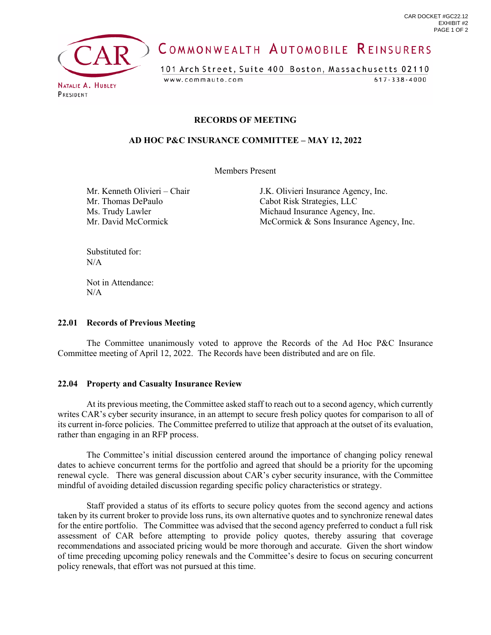<span id="page-3-0"></span>

# COMMONWEALTH AUTOMOBILE REINSURERS

101 Arch Street, Suite 400 Boston, Massachusetts 02110  $617 - 338 - 4000$ www.commauto.com

# **RECORDS OF MEETING**

## **AD HOC P&C INSURANCE COMMITTEE – MAY 12, 2022**

Members Present

Mr. Thomas DePaulo Cabot Risk Strategies, LLC

Mr. Kenneth Olivieri – Chair J.K. Olivieri Insurance Agency, Inc. Ms. Trudy Lawler Michaud Insurance Agency, Inc. Mr. David McCormick **McCormick** McCormick & Sons Insurance Agency, Inc.

Substituted for:  $N/A$ 

Not in Attendance:  $N/A$ 

## **22.01 Records of Previous Meeting**

The Committee unanimously voted to approve the Records of the Ad Hoc P&C Insurance Committee meeting of April 12, 2022. The Records have been distributed and are on file.

## **22.04 Property and Casualty Insurance Review**

At its previous meeting, the Committee asked staff to reach out to a second agency, which currently writes CAR's cyber security insurance, in an attempt to secure fresh policy quotes for comparison to all of its current in-force policies. The Committee preferred to utilize that approach at the outset of its evaluation, rather than engaging in an RFP process.

The Committee's initial discussion centered around the importance of changing policy renewal dates to achieve concurrent terms for the portfolio and agreed that should be a priority for the upcoming renewal cycle. There was general discussion about CAR's cyber security insurance, with the Committee mindful of avoiding detailed discussion regarding specific policy characteristics or strategy.

Staff provided a status of its efforts to secure policy quotes from the second agency and actions taken by its current broker to provide loss runs, its own alternative quotes and to synchronize renewal dates for the entire portfolio. The Committee was advised that the second agency preferred to conduct a full risk assessment of CAR before attempting to provide policy quotes, thereby assuring that coverage recommendations and associated pricing would be more thorough and accurate. Given the short window of time preceding upcoming policy renewals and the Committee's desire to focus on securing concurrent policy renewals, that effort was not pursued at this time.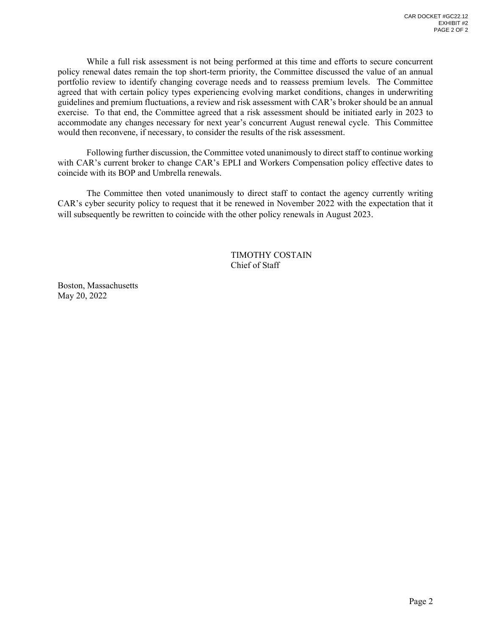While a full risk assessment is not being performed at this time and efforts to secure concurrent policy renewal dates remain the top short-term priority, the Committee discussed the value of an annual portfolio review to identify changing coverage needs and to reassess premium levels. The Committee agreed that with certain policy types experiencing evolving market conditions, changes in underwriting guidelines and premium fluctuations, a review and risk assessment with CAR's broker should be an annual exercise. To that end, the Committee agreed that a risk assessment should be initiated early in 2023 to accommodate any changes necessary for next year's concurrent August renewal cycle. This Committee would then reconvene, if necessary, to consider the results of the risk assessment.

Following further discussion, the Committee voted unanimously to direct staff to continue working with CAR's current broker to change CAR's EPLI and Workers Compensation policy effective dates to coincide with its BOP and Umbrella renewals.

The Committee then voted unanimously to direct staff to contact the agency currently writing CAR's cyber security policy to request that it be renewed in November 2022 with the expectation that it will subsequently be rewritten to coincide with the other policy renewals in August 2023.

> TIMOTHY COSTAIN Chief of Staff

Boston, Massachusetts May 20, 2022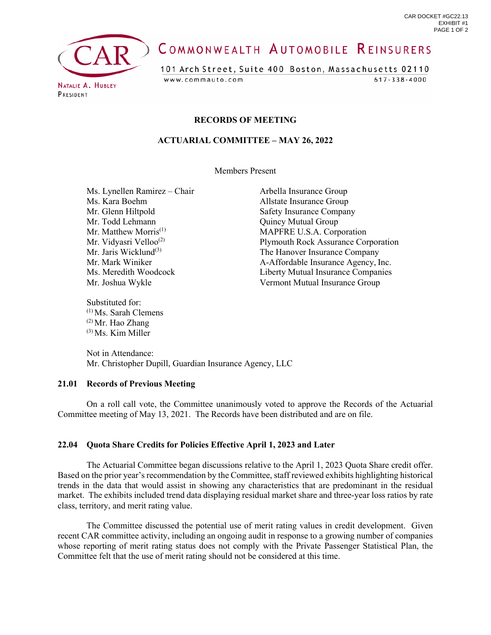<span id="page-5-0"></span>

# COMMONWEALTH AUTOMOBILE REINSURERS

101 Arch Street, Suite 400 Boston, Massachusetts 02110 www.commauto.com

 $617 - 338 - 4000$ 

PRESIDENT

## **RECORDS OF MEETING**

## **ACTUARIAL COMMITTEE – MAY 26, 2022**

Members Present

Ms. Lynellen Ramirez – Chair Arbella Insurance Group Ms. Kara Boehm Allstate Insurance Group<br>Mr. Glenn Hiltpold Safety Insurance Compan Mr. Todd Lehmann Quincy Mutual Group

Substituted for: (1) Ms. Sarah Clemens  $(2)$  Mr. Hao Zhang (3) Ms. Kim Miller

Safety Insurance Company Mr. Matthew Morris<sup>(1)</sup> MAPFRE U.S.A. Corporation Mr. Vidyasri Velloo<sup>(2)</sup><br>Mr. Jaris Wicklund<sup>(3)</sup> Plymouth Rock Assurance Corporation<br>The Hanover Insurance Company Mr. Jaris Wicklund<sup>(3)</sup><br>Mr. Mark Winiker **The Hanover Insurance Company**<br>A-Affordable Insurance Agency. I A-Affordable Insurance Agency, Inc. Ms. Meredith Woodcock Liberty Mutual Insurance Companies Mr. Joshua Wykle Vermont Mutual Insurance Group

 Not in Attendance: Mr. Christopher Dupill, Guardian Insurance Agency, LLC

## **21.01 Records of Previous Meeting**

On a roll call vote, the Committee unanimously voted to approve the Records of the Actuarial Committee meeting of May 13, 2021. The Records have been distributed and are on file.

## **22.04 Quota Share Credits for Policies Effective April 1, 2023 and Later**

The Actuarial Committee began discussions relative to the April 1, 2023 Quota Share credit offer. Based on the prior year's recommendation by the Committee, staff reviewed exhibits highlighting historical trends in the data that would assist in showing any characteristics that are predominant in the residual market. The exhibits included trend data displaying residual market share and three-year loss ratios by rate class, territory, and merit rating value.

The Committee discussed the potential use of merit rating values in credit development. Given recent CAR committee activity, including an ongoing audit in response to a growing number of companies whose reporting of merit rating status does not comply with the Private Passenger Statistical Plan, the Committee felt that the use of merit rating should not be considered at this time.